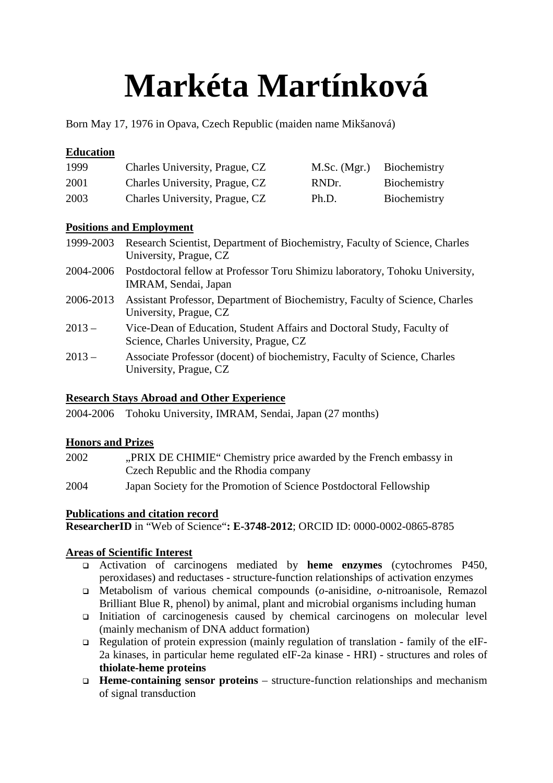# **Markéta Martínková**

Born May 17, 1976 in Opava, Czech Republic (maiden name Mikšanová)

## **Education**

| 1999 | Charles University, Prague, CZ | M.Sc. (Mgr.) | Biochemistry |
|------|--------------------------------|--------------|--------------|
| 2001 | Charles University, Prague, CZ | RNDr.        | Biochemistry |
| 2003 | Charles University, Prague, CZ | Ph.D.        | Biochemistry |

#### **Positions and Employment**

- 1999-2003 Research Scientist, Department of Biochemistry, Faculty of Science, Charles University, Prague, CZ
- 2004-2006 Postdoctoral fellow at Professor Toru Shimizu laboratory, Tohoku University, IMRAM, Sendai, Japan
- 2006-2013 Assistant Professor, Department of Biochemistry, Faculty of Science, Charles University, Prague, CZ
- 2013 Vice-Dean of Education, Student Affairs and Doctoral Study, Faculty of Science, Charles University, Prague, CZ
- 2013 Associate Professor (docent) of biochemistry, Faculty of Science, Charles University, Prague, CZ

## **Research Stays Abroad and Other Experience**

2004-2006 Tohoku University, IMRAM, Sendai, Japan (27 months)

## **Honors and Prizes**

- 2002 "PRIX DE CHIMIE" Chemistry price awarded by the French embassy in Czech Republic and the Rhodia company
- 2004 Japan Society for the Promotion of Science Postdoctoral Fellowship

## **Publications and citation record**

**ResearcherID** in "Web of Science"**: E-3748-2012**; ORCID ID: 0000-0002-0865-8785

## **Areas of Scientific Interest**

- Activation of carcinogens mediated by **heme enzymes** (cytochromes P450, peroxidases) and reductases - structure-function relationships of activation enzymes
- Metabolism of various chemical compounds (*o*-anisidine, *o*-nitroanisole, Remazol Brilliant Blue R, phenol) by animal, plant and microbial organisms including human
- Initiation of carcinogenesis caused by chemical carcinogens on molecular level (mainly mechanism of DNA adduct formation)
- Regulation of protein expression (mainly regulation of translation family of the eIF-2a kinases, in particular heme regulated eIF-2a kinase - HRI) - structures and roles of **thiolate-heme proteins**
- **Heme-containing sensor proteins** structure-function relationships and mechanism of signal transduction